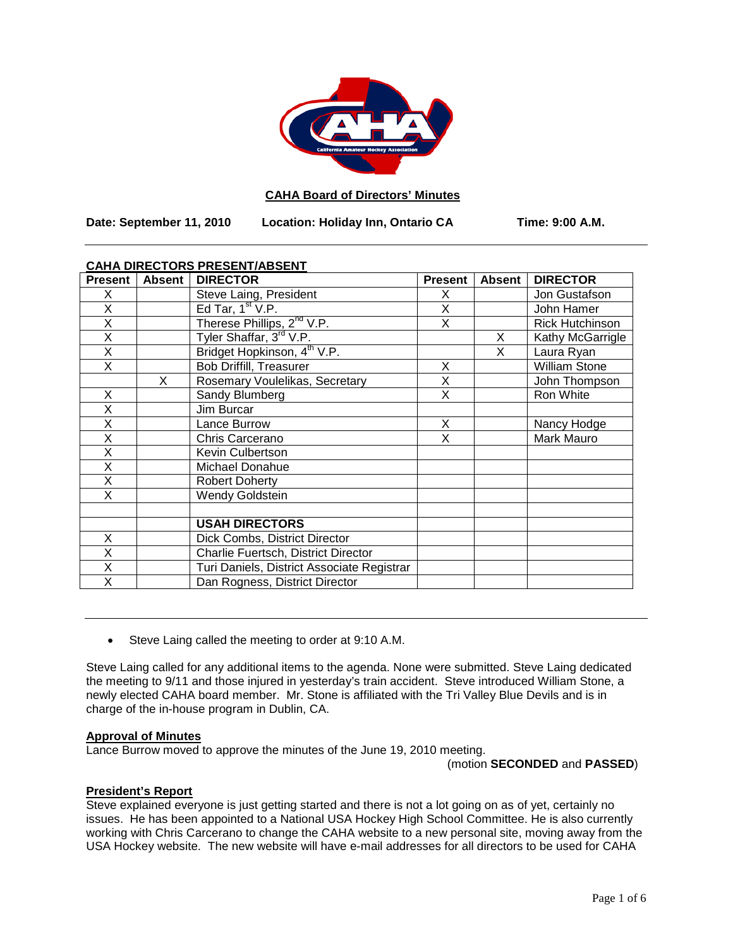

# **CAHA Board of Directors' Minutes**

**Date: September 11, 2010 Location: Holiday Inn, Ontario CA Time: 9:00 A.M.**

# **CAHA DIRECTORS PRESENT/ABSENT**

| <b>Present</b>          | <b>Absent</b> | <b>DIRECTOR</b>                            | <b>Present</b> | <b>Absent</b> | <b>DIRECTOR</b>        |
|-------------------------|---------------|--------------------------------------------|----------------|---------------|------------------------|
| X.                      |               | Steve Laing, President                     | X              |               | Jon Gustafson          |
| X                       |               | Ed Tar, $1st V.P.$                         | X              |               | John Hamer             |
| X                       |               | Therese Phillips, 2 <sup>nd</sup> V.P.     | X              |               | <b>Rick Hutchinson</b> |
| X                       |               | Tyler Shaffar, 3rd V.P.                    |                | X             | Kathy McGarrigle       |
| X                       |               | Bridget Hopkinson, 4 <sup>th</sup> V.P.    |                | X             | Laura Ryan             |
| X                       |               | <b>Bob Driffill, Treasurer</b>             | X              |               | <b>William Stone</b>   |
|                         | X             | Rosemary Voulelikas, Secretary             | X              |               | John Thompson          |
| X                       |               | Sandy Blumberg                             | X              |               | Ron White              |
| X                       |               | Jim Burcar                                 |                |               |                        |
| Χ                       |               | Lance Burrow                               | X              |               | Nancy Hodge            |
| X                       |               | Chris Carcerano                            | X              |               | Mark Mauro             |
| $\overline{\mathsf{x}}$ |               | Kevin Culbertson                           |                |               |                        |
| X                       |               | Michael Donahue                            |                |               |                        |
| X                       |               | <b>Robert Doherty</b>                      |                |               |                        |
| X                       |               | <b>Wendy Goldstein</b>                     |                |               |                        |
|                         |               |                                            |                |               |                        |
|                         |               | <b>USAH DIRECTORS</b>                      |                |               |                        |
| X                       |               | Dick Combs, District Director              |                |               |                        |
| X                       |               | Charlie Fuertsch, District Director        |                |               |                        |
| X                       |               | Turi Daniels, District Associate Registrar |                |               |                        |
| X                       |               | Dan Rogness, District Director             |                |               |                        |

• Steve Laing called the meeting to order at 9:10 A.M.

Steve Laing called for any additional items to the agenda. None were submitted. Steve Laing dedicated the meeting to 9/11 and those injured in yesterday's train accident. Steve introduced William Stone, a newly elected CAHA board member. Mr. Stone is affiliated with the Tri Valley Blue Devils and is in charge of the in-house program in Dublin, CA.

## **Approval of Minutes**

Lance Burrow moved to approve the minutes of the June 19, 2010 meeting.

(motion **SECONDED** and **PASSED**)

#### **President's Report**

Steve explained everyone is just getting started and there is not a lot going on as of yet, certainly no issues. He has been appointed to a National USA Hockey High School Committee. He is also currently working with Chris Carcerano to change the CAHA website to a new personal site, moving away from the USA Hockey website. The new website will have e-mail addresses for all directors to be used for CAHA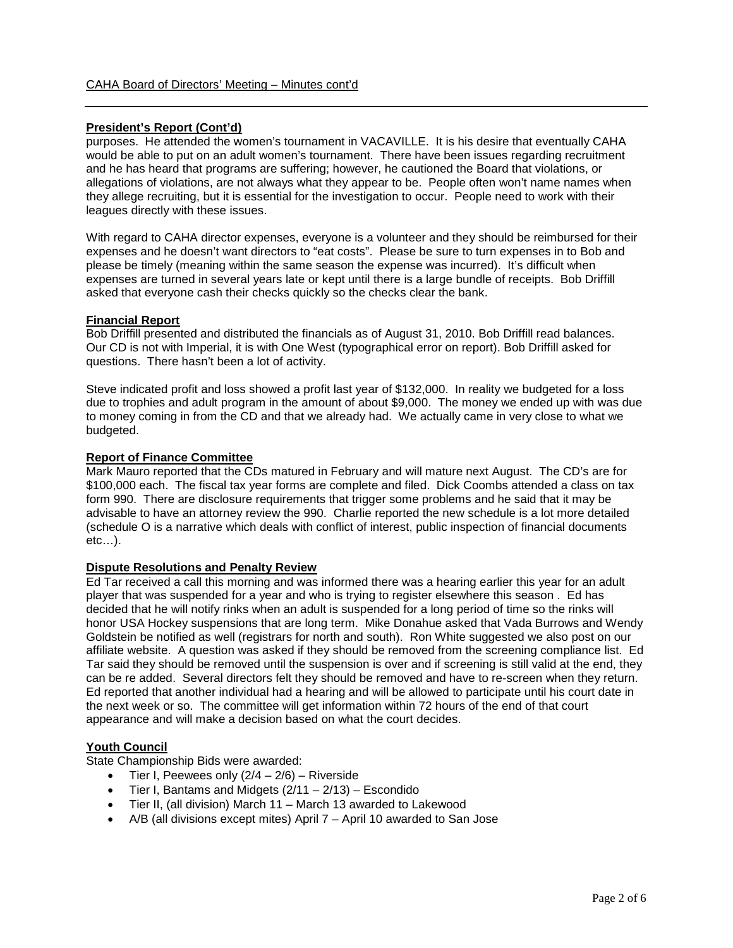# **President's Report (Cont'd)**

purposes. He attended the women's tournament in VACAVILLE. It is his desire that eventually CAHA would be able to put on an adult women's tournament. There have been issues regarding recruitment and he has heard that programs are suffering; however, he cautioned the Board that violations, or allegations of violations, are not always what they appear to be. People often won't name names when they allege recruiting, but it is essential for the investigation to occur. People need to work with their leagues directly with these issues.

With regard to CAHA director expenses, everyone is a volunteer and they should be reimbursed for their expenses and he doesn't want directors to "eat costs". Please be sure to turn expenses in to Bob and please be timely (meaning within the same season the expense was incurred). It's difficult when expenses are turned in several years late or kept until there is a large bundle of receipts. Bob Driffill asked that everyone cash their checks quickly so the checks clear the bank.

## **Financial Report**

Bob Driffill presented and distributed the financials as of August 31, 2010. Bob Driffill read balances. Our CD is not with Imperial, it is with One West (typographical error on report). Bob Driffill asked for questions. There hasn't been a lot of activity.

Steve indicated profit and loss showed a profit last year of \$132,000. In reality we budgeted for a loss due to trophies and adult program in the amount of about \$9,000. The money we ended up with was due to money coming in from the CD and that we already had. We actually came in very close to what we budgeted.

## **Report of Finance Committee**

Mark Mauro reported that the CDs matured in February and will mature next August. The CD's are for \$100,000 each. The fiscal tax year forms are complete and filed. Dick Coombs attended a class on tax form 990. There are disclosure requirements that trigger some problems and he said that it may be advisable to have an attorney review the 990. Charlie reported the new schedule is a lot more detailed (schedule O is a narrative which deals with conflict of interest, public inspection of financial documents etc…).

## **Dispute Resolutions and Penalty Review**

Ed Tar received a call this morning and was informed there was a hearing earlier this year for an adult player that was suspended for a year and who is trying to register elsewhere this season . Ed has decided that he will notify rinks when an adult is suspended for a long period of time so the rinks will honor USA Hockey suspensions that are long term. Mike Donahue asked that Vada Burrows and Wendy Goldstein be notified as well (registrars for north and south). Ron White suggested we also post on our affiliate website. A question was asked if they should be removed from the screening compliance list. Ed Tar said they should be removed until the suspension is over and if screening is still valid at the end, they can be re added. Several directors felt they should be removed and have to re-screen when they return. Ed reported that another individual had a hearing and will be allowed to participate until his court date in the next week or so. The committee will get information within 72 hours of the end of that court appearance and will make a decision based on what the court decides.

## **Youth Council**

State Championship Bids were awarded:

- Tier I, Peewees only  $(2/4 2/6)$  Riverside
- Tier I, Bantams and Midgets  $(2/11 2/13)$  Escondido
- Tier II, (all division) March 11 March 13 awarded to Lakewood
- A/B (all divisions except mites) April 7 April 10 awarded to San Jose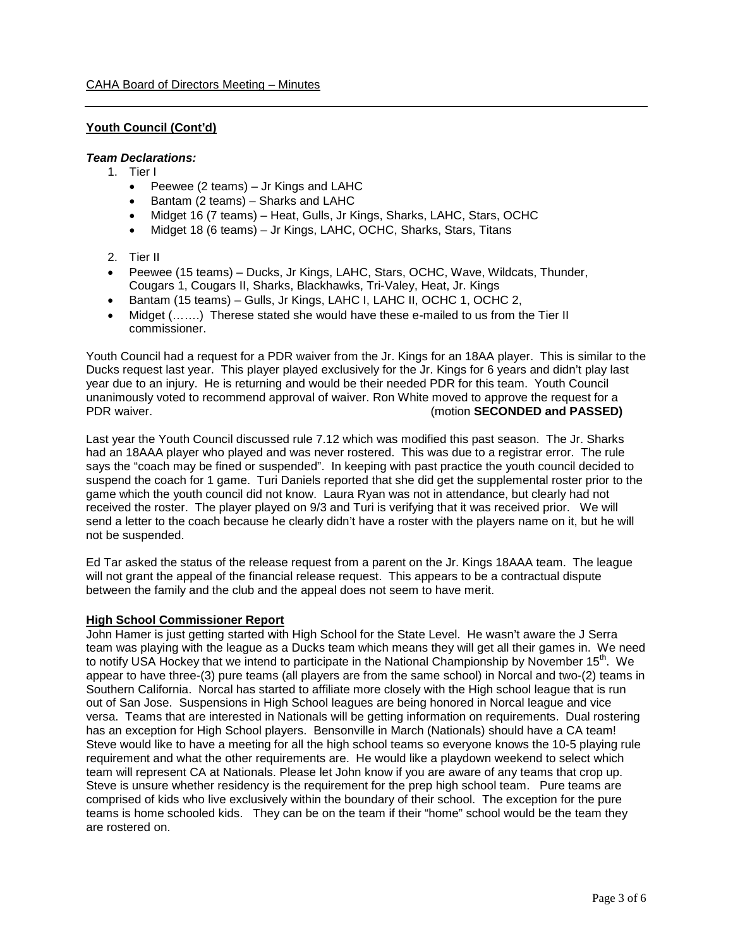# **Youth Council (Cont'd)**

## *Team Declarations:*

- 1. Tier I
	- Peewee (2 teams) Jr Kings and LAHC
	- Bantam (2 teams) Sharks and LAHC
	- Midget 16 (7 teams) Heat, Gulls, Jr Kings, Sharks, LAHC, Stars, OCHC
	- Midget 18 (6 teams) Jr Kings, LAHC, OCHC, Sharks, Stars, Titans
- 2. Tier II
- Peewee (15 teams) Ducks, Jr Kings, LAHC, Stars, OCHC, Wave, Wildcats, Thunder, Cougars 1, Cougars II, Sharks, Blackhawks, Tri-Valey, Heat, Jr. Kings
- Bantam (15 teams) Gulls, Jr Kings, LAHC I, LAHC II, OCHC 1, OCHC 2,
- Midget (.......) Therese stated she would have these e-mailed to us from the Tier II commissioner.

Youth Council had a request for a PDR waiver from the Jr. Kings for an 18AA player. This is similar to the Ducks request last year. This player played exclusively for the Jr. Kings for 6 years and didn't play last year due to an injury. He is returning and would be their needed PDR for this team. Youth Council unanimously voted to recommend approval of waiver. Ron White moved to approve the request for a PDR waiver. (motion **SECONDED and PASSED)**

Last year the Youth Council discussed rule 7.12 which was modified this past season. The Jr. Sharks had an 18AAA player who played and was never rostered. This was due to a registrar error. The rule says the "coach may be fined or suspended". In keeping with past practice the youth council decided to suspend the coach for 1 game. Turi Daniels reported that she did get the supplemental roster prior to the game which the youth council did not know. Laura Ryan was not in attendance, but clearly had not received the roster. The player played on 9/3 and Turi is verifying that it was received prior. We will send a letter to the coach because he clearly didn't have a roster with the players name on it, but he will not be suspended.

Ed Tar asked the status of the release request from a parent on the Jr. Kings 18AAA team. The league will not grant the appeal of the financial release request. This appears to be a contractual dispute between the family and the club and the appeal does not seem to have merit.

## **High School Commissioner Report**

John Hamer is just getting started with High School for the State Level. He wasn't aware the J Serra team was playing with the league as a Ducks team which means they will get all their games in. We need to notify USA Hockey that we intend to participate in the National Championship by November 15<sup>th</sup>. We appear to have three-(3) pure teams (all players are from the same school) in Norcal and two-(2) teams in Southern California. Norcal has started to affiliate more closely with the High school league that is run out of San Jose. Suspensions in High School leagues are being honored in Norcal league and vice versa. Teams that are interested in Nationals will be getting information on requirements. Dual rostering has an exception for High School players. Bensonville in March (Nationals) should have a CA team! Steve would like to have a meeting for all the high school teams so everyone knows the 10-5 playing rule requirement and what the other requirements are. He would like a playdown weekend to select which team will represent CA at Nationals. Please let John know if you are aware of any teams that crop up. Steve is unsure whether residency is the requirement for the prep high school team. Pure teams are comprised of kids who live exclusively within the boundary of their school. The exception for the pure teams is home schooled kids. They can be on the team if their "home" school would be the team they are rostered on.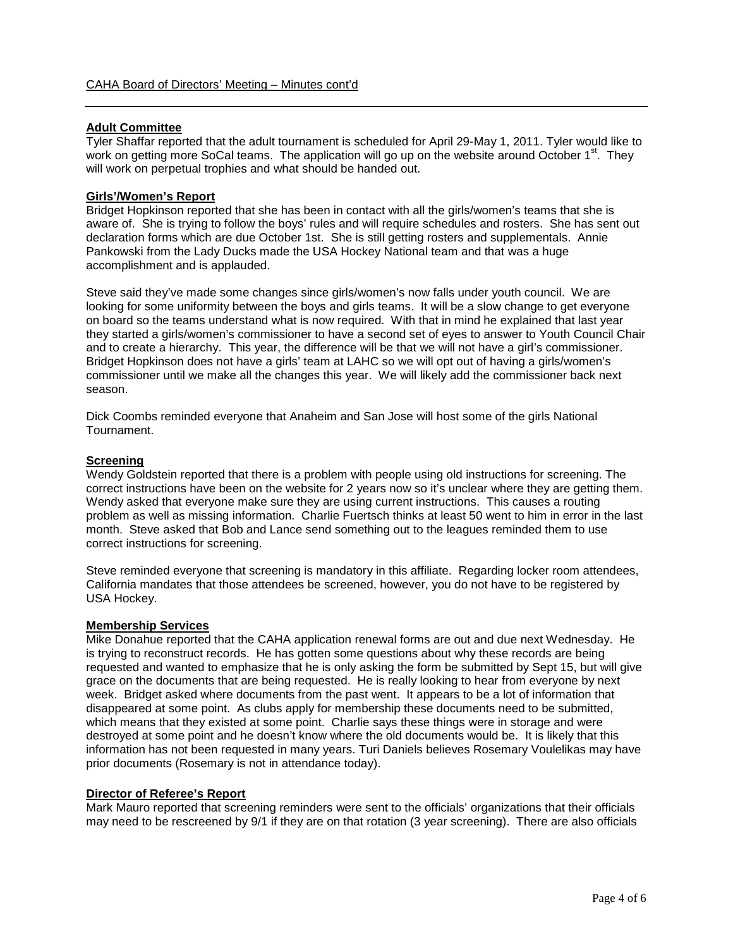# **Adult Committee**

Tyler Shaffar reported that the adult tournament is scheduled for April 29-May 1, 2011. Tyler would like to work on getting more SoCal teams. The application will go up on the website around October 1<sup>st</sup>. They will work on perpetual trophies and what should be handed out.

#### **Girls'/Women's Report**

Bridget Hopkinson reported that she has been in contact with all the girls/women's teams that she is aware of. She is trying to follow the boys' rules and will require schedules and rosters. She has sent out declaration forms which are due October 1st. She is still getting rosters and supplementals. Annie Pankowski from the Lady Ducks made the USA Hockey National team and that was a huge accomplishment and is applauded.

Steve said they've made some changes since girls/women's now falls under youth council. We are looking for some uniformity between the boys and girls teams. It will be a slow change to get everyone on board so the teams understand what is now required. With that in mind he explained that last year they started a girls/women's commissioner to have a second set of eyes to answer to Youth Council Chair and to create a hierarchy. This year, the difference will be that we will not have a girl's commissioner. Bridget Hopkinson does not have a girls' team at LAHC so we will opt out of having a girls/women's commissioner until we make all the changes this year. We will likely add the commissioner back next season.

Dick Coombs reminded everyone that Anaheim and San Jose will host some of the girls National Tournament.

## **Screening**

Wendy Goldstein reported that there is a problem with people using old instructions for screening. The correct instructions have been on the website for 2 years now so it's unclear where they are getting them. Wendy asked that everyone make sure they are using current instructions. This causes a routing problem as well as missing information. Charlie Fuertsch thinks at least 50 went to him in error in the last month. Steve asked that Bob and Lance send something out to the leagues reminded them to use correct instructions for screening.

Steve reminded everyone that screening is mandatory in this affiliate. Regarding locker room attendees, California mandates that those attendees be screened, however, you do not have to be registered by USA Hockey.

### **Membership Services**

Mike Donahue reported that the CAHA application renewal forms are out and due next Wednesday. He is trying to reconstruct records. He has gotten some questions about why these records are being requested and wanted to emphasize that he is only asking the form be submitted by Sept 15, but will give grace on the documents that are being requested. He is really looking to hear from everyone by next week. Bridget asked where documents from the past went. It appears to be a lot of information that disappeared at some point. As clubs apply for membership these documents need to be submitted, which means that they existed at some point. Charlie says these things were in storage and were destroyed at some point and he doesn't know where the old documents would be. It is likely that this information has not been requested in many years. Turi Daniels believes Rosemary Voulelikas may have prior documents (Rosemary is not in attendance today).

#### **Director of Referee's Report**

Mark Mauro reported that screening reminders were sent to the officials' organizations that their officials may need to be rescreened by 9/1 if they are on that rotation (3 year screening). There are also officials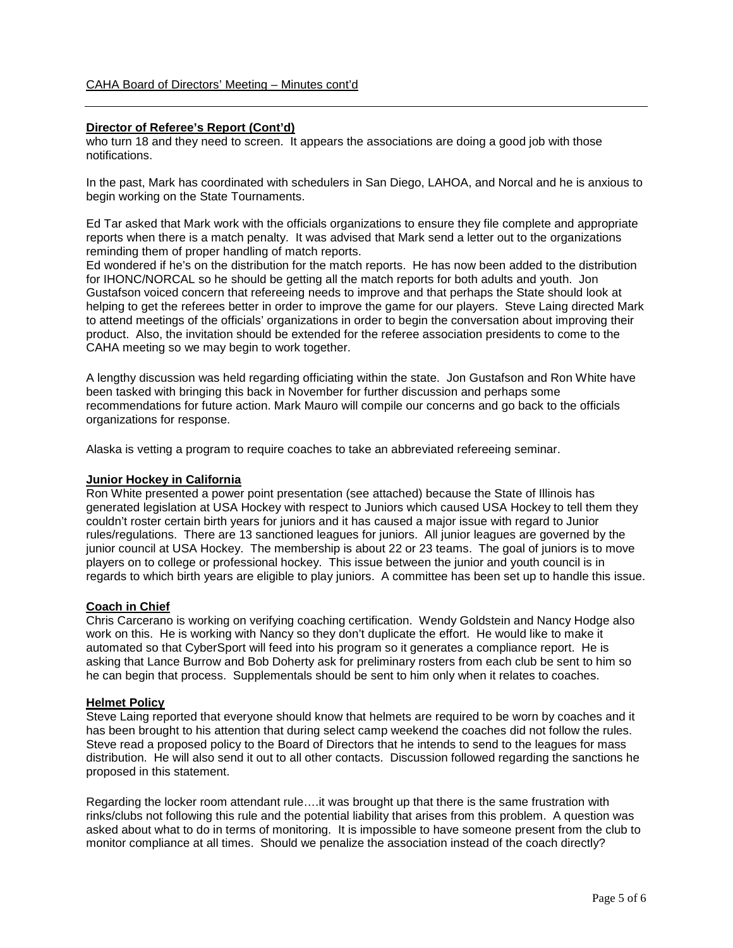#### **Director of Referee's Report (Cont'd)**

who turn 18 and they need to screen. It appears the associations are doing a good job with those notifications.

In the past, Mark has coordinated with schedulers in San Diego, LAHOA, and Norcal and he is anxious to begin working on the State Tournaments.

Ed Tar asked that Mark work with the officials organizations to ensure they file complete and appropriate reports when there is a match penalty. It was advised that Mark send a letter out to the organizations reminding them of proper handling of match reports.

Ed wondered if he's on the distribution for the match reports. He has now been added to the distribution for IHONC/NORCAL so he should be getting all the match reports for both adults and youth. Jon Gustafson voiced concern that refereeing needs to improve and that perhaps the State should look at helping to get the referees better in order to improve the game for our players. Steve Laing directed Mark to attend meetings of the officials' organizations in order to begin the conversation about improving their product. Also, the invitation should be extended for the referee association presidents to come to the CAHA meeting so we may begin to work together.

A lengthy discussion was held regarding officiating within the state. Jon Gustafson and Ron White have been tasked with bringing this back in November for further discussion and perhaps some recommendations for future action. Mark Mauro will compile our concerns and go back to the officials organizations for response.

Alaska is vetting a program to require coaches to take an abbreviated refereeing seminar.

#### **Junior Hockey in California**

Ron White presented a power point presentation (see attached) because the State of Illinois has generated legislation at USA Hockey with respect to Juniors which caused USA Hockey to tell them they couldn't roster certain birth years for juniors and it has caused a major issue with regard to Junior rules/regulations. There are 13 sanctioned leagues for juniors. All junior leagues are governed by the junior council at USA Hockey. The membership is about 22 or 23 teams. The goal of juniors is to move players on to college or professional hockey. This issue between the junior and youth council is in regards to which birth years are eligible to play juniors. A committee has been set up to handle this issue.

#### **Coach in Chief**

Chris Carcerano is working on verifying coaching certification. Wendy Goldstein and Nancy Hodge also work on this. He is working with Nancy so they don't duplicate the effort. He would like to make it automated so that CyberSport will feed into his program so it generates a compliance report. He is asking that Lance Burrow and Bob Doherty ask for preliminary rosters from each club be sent to him so he can begin that process. Supplementals should be sent to him only when it relates to coaches.

#### **Helmet Policy**

Steve Laing reported that everyone should know that helmets are required to be worn by coaches and it has been brought to his attention that during select camp weekend the coaches did not follow the rules. Steve read a proposed policy to the Board of Directors that he intends to send to the leagues for mass distribution. He will also send it out to all other contacts. Discussion followed regarding the sanctions he proposed in this statement.

Regarding the locker room attendant rule….it was brought up that there is the same frustration with rinks/clubs not following this rule and the potential liability that arises from this problem. A question was asked about what to do in terms of monitoring. It is impossible to have someone present from the club to monitor compliance at all times. Should we penalize the association instead of the coach directly?